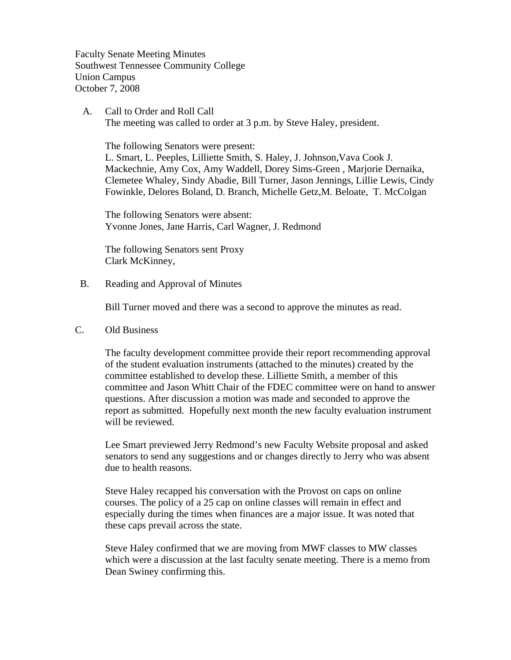Faculty Senate Meeting Minutes Southwest Tennessee Community College Union Campus October 7, 2008

 A. Call to Order and Roll Call The meeting was called to order at 3 p.m. by Steve Haley, president.

 The following Senators were present: L. Smart, L. Peeples, Lilliette Smith, S. Haley, J. Johnson,Vava Cook J. Mackechnie, Amy Cox, Amy Waddell, Dorey Sims-Green , Marjorie Dernaika, Clemetee Whaley, Sindy Abadie, Bill Turner, Jason Jennings, Lillie Lewis, Cindy Fowinkle, Delores Boland, D. Branch, Michelle Getz,M. Beloate, T. McColgan

The following Senators were absent: Yvonne Jones, Jane Harris, Carl Wagner, J. Redmond

The following Senators sent Proxy Clark McKinney,

B. Reading and Approval of Minutes

Bill Turner moved and there was a second to approve the minutes as read.

C. Old Business

The faculty development committee provide their report recommending approval of the student evaluation instruments (attached to the minutes) created by the committee established to develop these. Lilliette Smith, a member of this committee and Jason Whitt Chair of the FDEC committee were on hand to answer questions. After discussion a motion was made and seconded to approve the report as submitted. Hopefully next month the new faculty evaluation instrument will be reviewed.

Lee Smart previewed Jerry Redmond's new Faculty Website proposal and asked senators to send any suggestions and or changes directly to Jerry who was absent due to health reasons.

Steve Haley recapped his conversation with the Provost on caps on online courses. The policy of a 25 cap on online classes will remain in effect and especially during the times when finances are a major issue. It was noted that these caps prevail across the state.

Steve Haley confirmed that we are moving from MWF classes to MW classes which were a discussion at the last faculty senate meeting. There is a memo from Dean Swiney confirming this.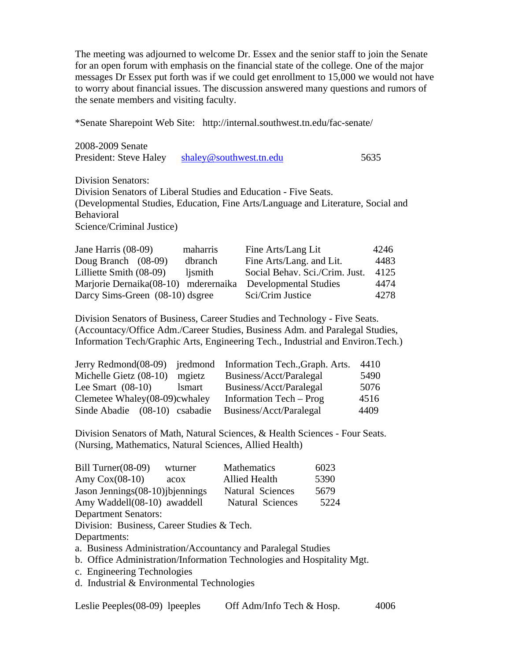The meeting was adjourned to welcome Dr. Essex and the senior staff to join the Senate for an open forum with emphasis on the financial state of the college. One of the major messages Dr Essex put forth was if we could get enrollment to 15,000 we would not have to worry about financial issues. The discussion answered many questions and rumors of the senate members and visiting faculty.

\*Senate Sharepoint Web Site: http://internal.southwest.tn.edu/fac-senate/

| 2008-2009 Senate |  |
|------------------|--|
|------------------|--|

| President: Steve Haley | shaley@southwest.tn.edu | 5635 |
|------------------------|-------------------------|------|
|                        |                         |      |

Division Senators: Division Senators of Liberal Studies and Education - Five Seats. (Developmental Studies, Education, Fine Arts/Language and Literature, Social and Behavioral Science/Criminal Justice)

| Jane Harris $(08-09)$                | maharris | Fine Arts/Lang Lit             | 4246 |
|--------------------------------------|----------|--------------------------------|------|
| Doug Branch (08-09)                  | dbranch  | Fine Arts/Lang. and Lit.       | 4483 |
| Lilliette Smith (08-09)              | lismith  | Social Behav. Sci./Crim. Just. | 4125 |
| Marjorie Dernaika(08-10) mderernaika |          | Developmental Studies          | 4474 |
| Darcy Sims-Green (08-10) dsgree      |          | Sci/Crim Justice               | 4278 |

Division Senators of Business, Career Studies and Technology - Five Seats. (Accountacy/Office Adm./Career Studies, Business Adm. and Paralegal Studies, Information Tech/Graphic Arts, Engineering Tech., Industrial and Environ.Tech.)

|                               |               | Jerry Redmond(08-09) jredmond Information Tech., Graph. Arts. | 4410 |
|-------------------------------|---------------|---------------------------------------------------------------|------|
| Michelle Gietz (08-10)        | mgietz        | Business/Acct/Paralegal                                       | 5490 |
| Lee Smart $(08-10)$           | <i>lsmart</i> | Business/Acct/Paralegal                                       | 5076 |
| Clemetee Whaley(08-09)cwhaley |               | Information Tech – Prog                                       | 4516 |
| Sinde Abadie (08-10) csabadie |               | Business/Acct/Paralegal                                       | 4409 |

Division Senators of Math, Natural Sciences, & Health Sciences - Four Seats. (Nursing, Mathematics, Natural Sciences, Allied Health)

| Bill Turner $(08-09)$                      | wturner | Mathematics             | 6023 |
|--------------------------------------------|---------|-------------------------|------|
| Amy $Cox(08-10)$                           | acox    | <b>Allied Health</b>    | 5390 |
| Jason Jennings (08-10) jbjennings          |         | Natural Sciences        | 5679 |
| Amy Waddell(08-10) awaddell                |         | <b>Natural Sciences</b> | 5224 |
| <b>Department Senators:</b>                |         |                         |      |
| Division: Business, Career Studies & Tech. |         |                         |      |

Departments:

a. Business Administration/Accountancy and Paralegal Studies

- b. Office Administration/Information Technologies and Hospitality Mgt.
- c. Engineering Technologies
- d. Industrial & Environmental Technologies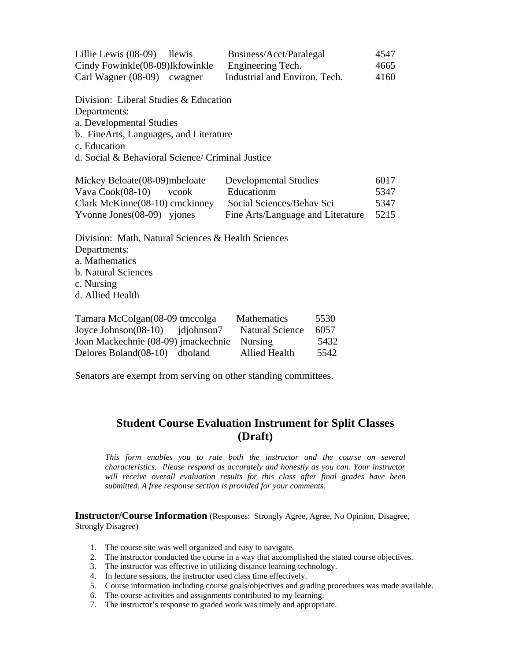| Lillie Lewis $(08-09)$<br><b>Ilewis</b> | Business/Acct/Paralegal       | 4547 |
|-----------------------------------------|-------------------------------|------|
| Cindy Fowinkle (08-09)lkfowinkle        | Engineering Tech.             | 4665 |
| Carl Wagner $(08-09)$ cwagner           | Industrial and Environ. Tech. | 4160 |

Division: Liberal Studies & Education

Departments:

a. Developmental Studies

b. FineArts, Languages, and Literature

c. Education

d. Social & Behavioral Science/ Criminal Justice

| Mickey Beloate (08-09) mbeloate | <b>Developmental Studies</b>      | 6017 |
|---------------------------------|-----------------------------------|------|
| Vava $Cook(08-10)$<br>vcook     | Educationm                        | 5347 |
| Clark McKinne(08-10) cmckinney  | Social Sciences/Behav Sci         | 5347 |
| Yvonne Jones $(08-09)$ yjones   | Fine Arts/Language and Literature | 5215 |

Division: Math, Natural Sciences & Health Sciences Departments: a. Mathematics b. Natural Sciences c. Nursing d. Allied Health

| Tamara McColgan(08-09 tmccolga        | <b>Mathematics</b>     | 5530 |
|---------------------------------------|------------------------|------|
| Joyce Johnson $(08-10)$<br>jdjohnson7 | <b>Natural Science</b> | 6057 |
| Joan Mackechnie (08-09) jmackechnie   | <b>Nursing</b>         | 5432 |
| Delores Boland (08-10) dboland        | Allied Health          | 5542 |

Senators are exempt from serving on other standing committees.

# **Student Course Evaluation Instrument for Split Classes (Draft)**

*This form enables you to rate both the instructor and the course on several characteristics. Please respond as accurately and honestly as you can. Your instructor*  will receive overall evaluation results for this class after final grades have been *submitted. A free response section is provided for your comments.* 

**Instructor/Course Information** (Responses: Strongly Agree, Agree, No Opinion, Disagree, Strongly Disagree)

- 1. The course site was well organized and easy to navigate.
- 2. The instructor conducted the course in a way that accomplished the stated course objectives.
- 3. The instructor was effective in utilizing distance learning technology.
- 4. In lecture sessions, the instructor used class time effectively.
- 5. Course information including course goals/objectives and grading procedures was made available.
- 6. The course activities and assignments contributed to my learning.
- 7. The instructor's response to graded work was timely and appropriate.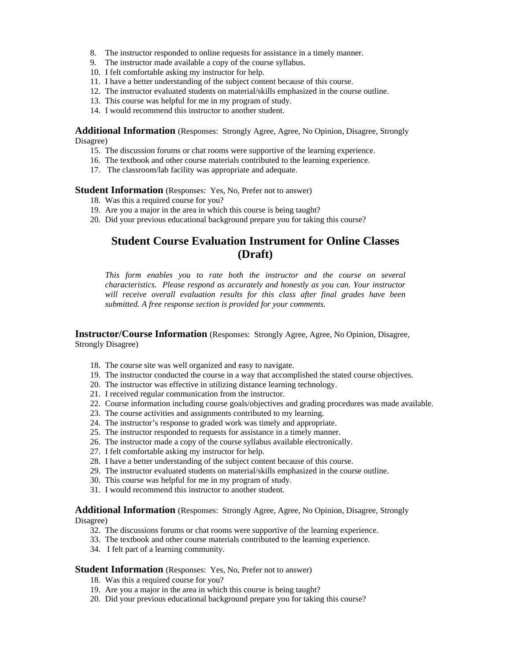- 8. The instructor responded to online requests for assistance in a timely manner.
- 9. The instructor made available a copy of the course syllabus.
- 10. I felt comfortable asking my instructor for help.
- 11. I have a better understanding of the subject content because of this course.
- 12. The instructor evaluated students on material/skills emphasized in the course outline.
- 13. This course was helpful for me in my program of study.
- 14. I would recommend this instructor to another student.

**Additional Information** (Responses: Strongly Agree, Agree, No Opinion, Disagree, Strongly Disagree)

- 15. The discussion forums or chat rooms were supportive of the learning experience.
- 16. The textbook and other course materials contributed to the learning experience.
- 17. The classroom/lab facility was appropriate and adequate.

**Student Information** (Responses: Yes, No, Prefer not to answer)

- 18. Was this a required course for you?
- 19. Are you a major in the area in which this course is being taught?
- 20. Did your previous educational background prepare you for taking this course?

### **Student Course Evaluation Instrument for Online Classes (Draft)**

*This form enables you to rate both the instructor and the course on several characteristics. Please respond as accurately and honestly as you can. Your instructor will receive overall evaluation results for this class after final grades have been submitted. A free response section is provided for your comments.* 

**Instructor/Course Information** (Responses: Strongly Agree, Agree, No Opinion, Disagree, Strongly Disagree)

- 18. The course site was well organized and easy to navigate.
- 19. The instructor conducted the course in a way that accomplished the stated course objectives.
- 20. The instructor was effective in utilizing distance learning technology.
- 21. I received regular communication from the instructor.
- 22. Course information including course goals/objectives and grading procedures was made available.
- 23. The course activities and assignments contributed to my learning.
- 24. The instructor's response to graded work was timely and appropriate.
- 25. The instructor responded to requests for assistance in a timely manner.
- 26. The instructor made a copy of the course syllabus available electronically.
- 27. I felt comfortable asking my instructor for help.
- 28. I have a better understanding of the subject content because of this course.
- 29. The instructor evaluated students on material/skills emphasized in the course outline.
- 30. This course was helpful for me in my program of study.
- 31. I would recommend this instructor to another student.

### **Additional Information** (Responses: Strongly Agree, Agree, No Opinion, Disagree, Strongly Disagree)

- 32. The discussions forums or chat rooms were supportive of the learning experience.
- 33. The textbook and other course materials contributed to the learning experience.
- 34. I felt part of a learning community.

#### **Student Information** (Responses: Yes, No, Prefer not to answer)

- 18. Was this a required course for you?
- 19. Are you a major in the area in which this course is being taught?
- 20. Did your previous educational background prepare you for taking this course?